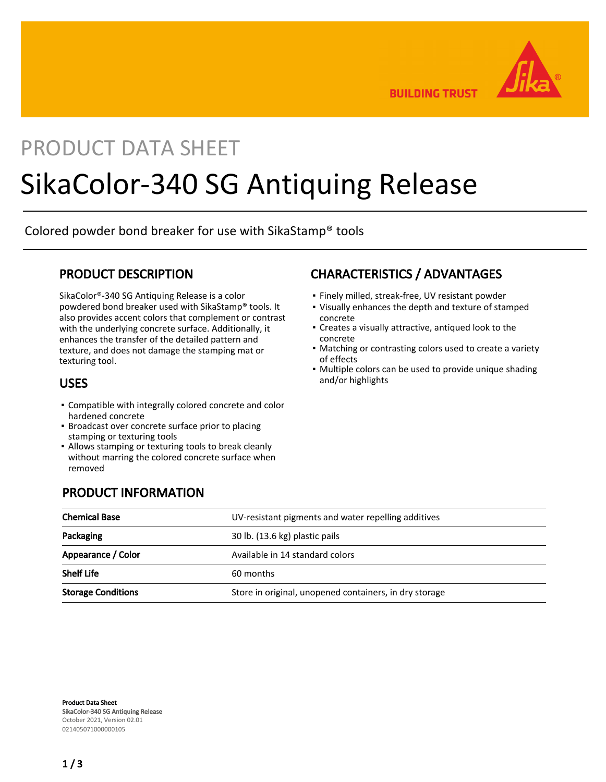

**BUILDING TRUST** 

# PRODUCT DATA SHEET

# SikaColor-340 SG Antiquing Release

Colored powder bond breaker for use with SikaStamp® tools

#### PRODUCT DESCRIPTION

SikaColor®-340 SG Antiquing Release is a color powdered bond breaker used with SikaStamp® tools. It also provides accent colors that complement or contrast with the underlying concrete surface. Additionally, it enhances the transfer of the detailed pattern and texture, and does not damage the stamping mat or texturing tool.

#### USES

- Compatible with integrally colored concrete and color hardened concrete
- **Broadcast over concrete surface prior to placing** stamping or texturing tools

PRODUCT INFORMATION

Allows stamping or texturing tools to break cleanly ▪ without marring the colored concrete surface when removed

# CHARACTERISTICS / ADVANTAGES

- Finely milled, streak-free, UV resistant powder
- Visually enhances the depth and texture of stamped concrete
- Creates a visually attractive, antiqued look to the concrete
- Matching or contrasting colors used to create a variety of effects
- Multiple colors can be used to provide unique shading and/or highlights

| <b>Chemical Base</b>      | UV-resistant pigments and water repelling additives    |
|---------------------------|--------------------------------------------------------|
| Packaging                 | 30 lb. (13.6 kg) plastic pails                         |
| Appearance / Color        | Available in 14 standard colors                        |
| <b>Shelf Life</b>         | 60 months                                              |
| <b>Storage Conditions</b> | Store in original, unopened containers, in dry storage |

Product Data Sheet SikaColor-340 SG Antiquing Release October 2021, Version 02.01 021405071000000105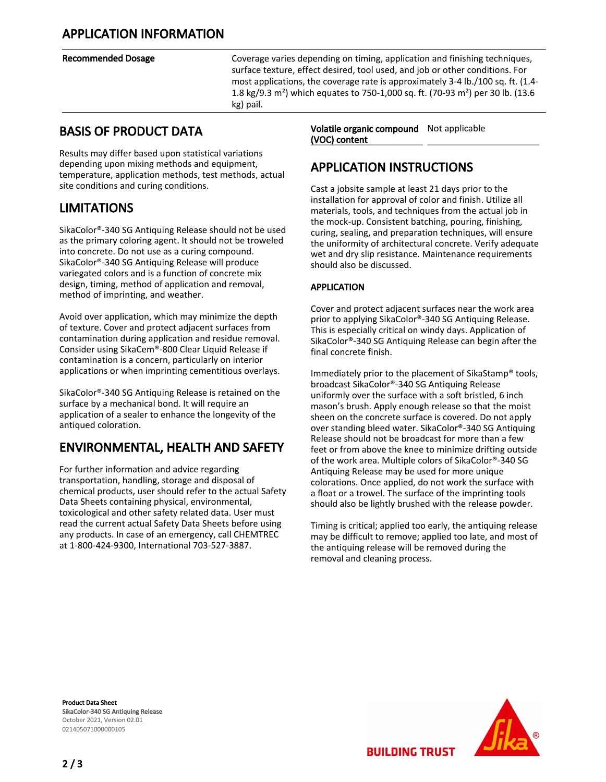Recommended Dosage The Coverage varies depending on timing, application and finishing techniques, surface texture, effect desired, tool used, and job or other conditions. For most applications, the coverage rate is approximately 3-4 lb./100 sq. ft. (1.4- 1.8 kg/9.3 m²) which equates to 750-1,000 sq. ft. (70-93 m²) per 30 lb. (13.6 kg) pail.

#### BASIS OF PRODUCT DATA

Results may differ based upon statistical variations depending upon mixing methods and equipment, temperature, application methods, test methods, actual site conditions and curing conditions.

## LIMITATIONS

SikaColor®-340 SG Antiquing Release should not be used as the primary coloring agent. It should not be troweled into concrete. Do not use as a curing compound. SikaColor®-340 SG Antiquing Release will produce variegated colors and is a function of concrete mix design, timing, method of application and removal, method of imprinting, and weather.

Avoid over application, which may minimize the depth of texture. Cover and protect adjacent surfaces from contamination during application and residue removal. Consider using SikaCem®-800 Clear Liquid Release if contamination is a concern, particularly on interior applications or when imprinting cementitious overlays.

SikaColor®-340 SG Antiquing Release is retained on the surface by a mechanical bond. It will require an application of a sealer to enhance the longevity of the antiqued coloration.

# ENVIRONMENTAL, HEALTH AND SAFETY

For further information and advice regarding transportation, handling, storage and disposal of chemical products, user should refer to the actual Safety Data Sheets containing physical, environmental, toxicological and other safety related data. User must read the current actual Safety Data Sheets before using any products. In case of an emergency, call CHEMTREC at 1-800-424-9300, International 703-527-3887.

Volatile organic compound Not applicable (VOC) content

## APPLICATION INSTRUCTIONS

Cast a jobsite sample at least 21 days prior to the installation for approval of color and finish. Utilize all materials, tools, and techniques from the actual job in the mock-up. Consistent batching, pouring, finishing, curing, sealing, and preparation techniques, will ensure the uniformity of architectural concrete. Verify adequate wet and dry slip resistance. Maintenance requirements should also be discussed.

#### APPLICATION

Cover and protect adjacent surfaces near the work area prior to applying SikaColor®-340 SG Antiquing Release. This is especially critical on windy days. Application of SikaColor®-340 SG Antiquing Release can begin after the final concrete finish.

Immediately prior to the placement of SikaStamp® tools, broadcast SikaColor®-340 SG Antiquing Release uniformly over the surface with a soft bristled, 6 inch mason's brush. Apply enough release so that the moist sheen on the concrete surface is covered. Do not apply over standing bleed water. SikaColor®-340 SG Antiquing Release should not be broadcast for more than a few feet or from above the knee to minimize drifting outside of the work area. Multiple colors of SikaColor®-340 SG Antiquing Release may be used for more unique colorations. Once applied, do not work the surface with a float or a trowel. The surface of the imprinting tools should also be lightly brushed with the release powder.

Timing is critical; applied too early, the antiquing release may be difficult to remove; applied too late, and most of the antiquing release will be removed during the removal and cleaning process.

Product Data Sheet SikaColor-340 SG Antiquing Release October 2021, Version 02.01 021405071000000105



**BUILDING TRUST**